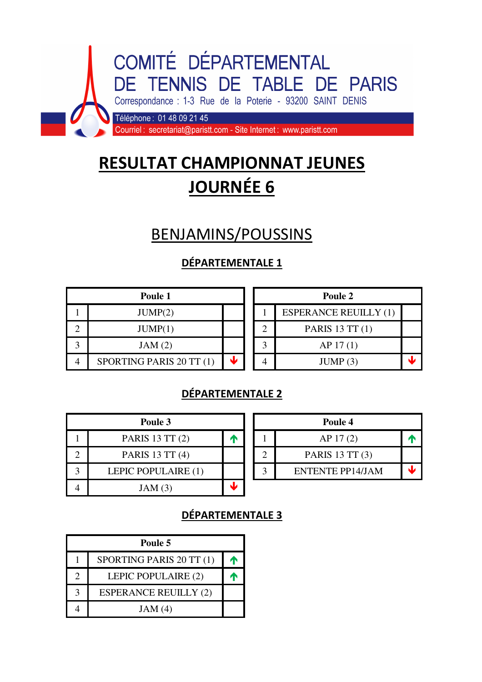

# **RESULTAT CHAMPIONNAT JEUNES JOURNÉE 6**

## BENJAMINS/POUSSINS

#### **DÉPARTEMENTALE 1**

| Poule 1 |                          |  | Poule 2 |                              |  |  |  |
|---------|--------------------------|--|---------|------------------------------|--|--|--|
|         | JUMP(2)                  |  |         | <b>ESPERANCE REUILLY (1)</b> |  |  |  |
|         | JUMP(1)                  |  | ◠       | PARIS 13 TT (1)              |  |  |  |
|         | JAM(2)                   |  |         | AP 17(1)                     |  |  |  |
| 4       | SPORTING PARIS 20 TT (1) |  |         | JUMP(3)                      |  |  |  |

| Poule 2                      |  |
|------------------------------|--|
| <b>ESPERANCE REUILLY (1)</b> |  |
| PARIS 13 TT (1)              |  |
| AP 17(1)                     |  |
| JUMP(3)                      |  |

### **DÉPARTEMENTALE 2**

|   | Poule 3             |    |  | Poule 4                 |   |
|---|---------------------|----|--|-------------------------|---|
|   | PARIS 13 TT (2)     | ИΝ |  | AP 17(2)                | Λ |
|   | PARIS 13 TT (4)     |    |  | PARIS 13 TT (3)         |   |
| 3 | LEPIC POPULAIRE (1) |    |  | <b>ENTENTE PP14/JAM</b> |   |
|   | JAM(3)              |    |  |                         |   |

| Poule 4 |                         |  |  |  |  |
|---------|-------------------------|--|--|--|--|
|         | AP 17(2)                |  |  |  |  |
|         | PARIS 13 TT (3)         |  |  |  |  |
|         | <b>ENTENTE PP14/JAM</b> |  |  |  |  |

#### **DÉPARTEMENTALE 3**

|               | Poule 5                      |  |  |  |  |  |
|---------------|------------------------------|--|--|--|--|--|
|               | SPORTING PARIS 20 TT (1)     |  |  |  |  |  |
| $\mathcal{D}$ | LEPIC POPULAIRE (2)          |  |  |  |  |  |
| 3             | <b>ESPERANCE REUILLY (2)</b> |  |  |  |  |  |
|               | JAM(4)                       |  |  |  |  |  |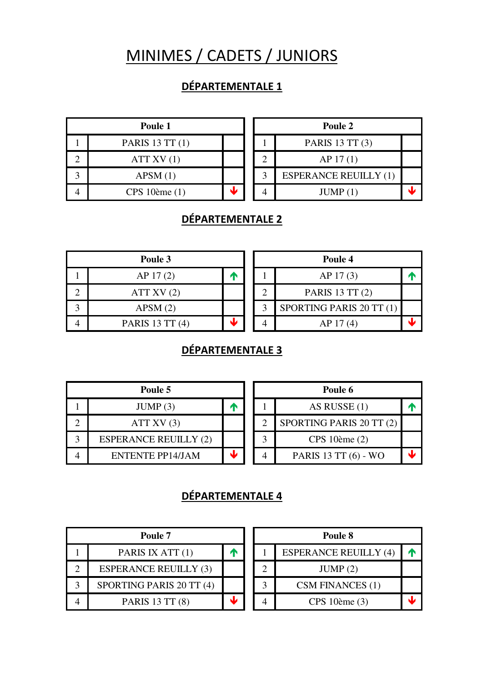## MINIMES / CADETS / JUNIORS

#### **DÉPARTEMENTALE 1**

|             | Poule 1            |    |  | Poule 2                      |  |
|-------------|--------------------|----|--|------------------------------|--|
|             | PARIS 13 TT (1)    |    |  | PARIS 13 TT (3)              |  |
|             | ATT XV(1)          |    |  | AP 17(1)                     |  |
| $\mathbf 3$ | APSM(1)            |    |  | <b>ESPERANCE REUILLY (1)</b> |  |
|             | $CPS 10$ ème $(1)$ | ЧИ |  | JUMP(1)                      |  |

|   | Poule 2                      |  |
|---|------------------------------|--|
|   | PARIS 13 TT (3)              |  |
|   | AP 17(1)                     |  |
| 3 | <b>ESPERANCE REUILLY (1)</b> |  |
|   | JUMP(1)                      |  |

## **DÉPARTEMENTALE 2**

|   | Poule 3         |  | Poule 4                  |   |
|---|-----------------|--|--------------------------|---|
|   | AP 17(2)        |  | AP 17(3)                 | Λ |
| ⌒ | ATT XV $(2)$    |  | PARIS 13 TT (2)          |   |
| 3 | APSM(2)         |  | SPORTING PARIS 20 TT (1) |   |
|   | PARIS 13 TT (4) |  | AP 17 (4)                |   |

|   | Poule 4                  |  |
|---|--------------------------|--|
|   | AP 17(3)                 |  |
|   | PARIS 13 TT (2)          |  |
| 3 | SPORTING PARIS 20 TT (1) |  |
|   | AP 17(4)                 |  |

#### **DÉPARTEMENTALE 3**

|   | Poule 5                      |  | Poule 6                  |   |
|---|------------------------------|--|--------------------------|---|
|   | JUMP(3)                      |  | AS RUSSE $(1)$           | Λ |
|   | ATT XV $(3)$                 |  | SPORTING PARIS 20 TT (2) |   |
| 3 | <b>ESPERANCE REUILLY (2)</b> |  | $CPS 10$ ème $(2)$       |   |
|   | <b>ENTENTE PP14/JAM</b>      |  | PARIS 13 TT (6) - WO     |   |

| Poule 6 |                          |  |  |  |  |
|---------|--------------------------|--|--|--|--|
|         | AS RUSSE $(1)$           |  |  |  |  |
| 2       | SPORTING PARIS 20 TT (2) |  |  |  |  |
| ว       | CPS 10ème (2)            |  |  |  |  |
|         | PARIS 13 TT (6) - WO     |  |  |  |  |

### **DÉPARTEMENTALE 4**

|   | Poule 7                      |  |  | Poule 8 |                              |   |
|---|------------------------------|--|--|---------|------------------------------|---|
|   | PARIS IX ATT (1)             |  |  |         | <b>ESPERANCE REUILLY (4)</b> | Λ |
| ◠ | <b>ESPERANCE REUILLY (3)</b> |  |  |         | JUMP(2)                      |   |
| 2 | SPORTING PARIS 20 TT (4)     |  |  | 2       | CSM FINANCES (1)             |   |
|   | PARIS 13 TT (8)              |  |  |         | $CPS 10$ ème $(3)$           |   |

| Poule 8 |                              |  |  |  |  |
|---------|------------------------------|--|--|--|--|
|         | <b>ESPERANCE REUILLY (4)</b> |  |  |  |  |
|         | JUMP(2)                      |  |  |  |  |
|         | <b>CSM FINANCES (1)</b>      |  |  |  |  |
|         | CPS 10ème (3)                |  |  |  |  |